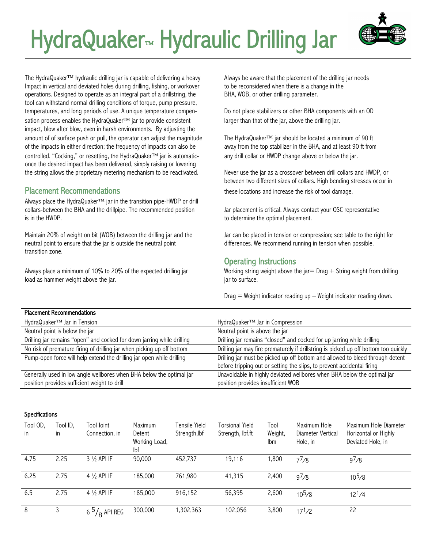# HydraQuaker<sup>™</sup> Hydraulic Drilling Jar



The HydraQuaker<sup>TM</sup> hydraulic drilling jar is capable of delivering a heavy  $\frac{M}{2}$  Always be aware that the placement of the drilling jar needs Impact in vertical and deviated holes during drilling, fishing, or workover to be reconsidered when there is a change in the operations. Designed to operate as an integral part of a drillstring, the BHA, WOB, or other drilling parameter. tool can withstand normal drilling conditions of torque, pump pressure, temperatures, and long periods of use. A unique temperature compen- Do not place stabilizers or other BHA components with an OD sation process enables the HydraQuaker<sup>TM</sup> jar to provide consistent larger than that of the jar, above the drilling jar. impact, blow after blow, even in harsh environments. By adjusting the amount of of surface push or pull, the operator can adjust the magnitude The HydraQuaker™ jar should be located a minimum of 90 ft of the impacts in either direction; the frequency of impacts can also be away from the top stabilizer in the BHA, and at least 90 ft from controlled. "Cocking," or resetting, the HydraQuaker<sup>TM</sup> jar is automatic- any drill collar or HWDP change above or below the jar. once the desired impact has been delivered, simply raising or lowering the string allows the proprietary metering mechanism to be reactivated. Never use the jar as a crossover between drill collars and HWDP, or

Placement Recommendations

Always place the HydraQuaker<sup>TM</sup> jar in the transition pipe-HWDP or drill collars-between the BHA and the drillpipe. The recommended position Jar placement is critical. Always contact your OSC representative is in the HWDP. The HWDP is in the HWDP.

neutral point to ensure that the jar is outside the neutral point differences. We recommend running in tension when possible. transition zone.

load as hammer weight above the jar. jar to surface.

between two different sizes of collars. High bending stresses occur in Placement Recommendations these locations and increase the risk of tool damage.

Maintain 20% of weight on bit (WOB) between the drilling jar and the Jar can be placed in tension or compression; see table to the right for

#### Operating Instructions

Always place a minimum of 10% to 20% of the expected drilling jar Working string weight above the jar= Drag + String weight from drilling

 $Diag = Weight indicator reading up - Weight indicator reading down.$ 

| FIALCHICHI NCLUIIIIICHUAUUIS                                                                                         |                                                                                                               |
|----------------------------------------------------------------------------------------------------------------------|---------------------------------------------------------------------------------------------------------------|
| HydraQuaker™ Jar in Tension                                                                                          | $HydraQuaker^{TM}$ Jar in Compression                                                                         |
| Neutral point is below the jar                                                                                       | Neutral point is above the jar                                                                                |
| Drilling jar remains "open" and cocked for down jarring while drilling                                               | Drilling jar remains "closed" and cocked for up jarring while drilling                                        |
| No risk of premature firing of drilling jar when picking up off bottom                                               | Drilling jar may fire prematurely if drillstring is picked up off bottom too quickly                          |
| Pump-open force will help extend the drilling jar open while drilling                                                | Drilling jar must be picked up off bottom and allowed to bleed through detent                                 |
|                                                                                                                      | before tripping out or setting the slips, to prevent accidental firing                                        |
| Generally used in low angle wellbores when BHA below the optimal jar<br>position provides sufficient weight to drill | Unavoidable in highly deviated wellbores when BHA below the optimal jar<br>position provides insufficient WOB |

| <b>Specifications</b> |          |                         |                      |               |                        |         |                    |                       |
|-----------------------|----------|-------------------------|----------------------|---------------|------------------------|---------|--------------------|-----------------------|
| Tool OD,              | Tool ID, | Tool Joint              | Maximum              | Tensile Yield | <b>Torsional Yield</b> | Tool    | Maximum Hole       | Maximum Hole Diameter |
| in                    | in.      | Connection, in          | Detent               | Strength, lbf | Strength, lbf.ft       | Weight, | Diameter Vertical  | Horizontal or Highly  |
|                       |          |                         | Working Load,<br>lbf |               |                        | lbm     | Hole, in           | Deviated Hole, in     |
| 4.75                  | 2.25     | $3\frac{1}{2}$ API IF   | 90,000               | 452,737       | 19,116                 | ,800    | $7^{7}/8$          | $9^{7}/8$             |
| 6.25                  | 2.75     | $4\frac{1}{2}$ API IF   | 185,000              | 761,980       | 41,315                 | 2,400   | 97/8               | $10^{5/8}$            |
| 6.5                   | 2.75     | $4\frac{1}{2}$ API IF   | 185,000              | 916,152       | 56,395                 | 2,600   | 10 <sup>5</sup> /8 | $12^{1}/4$            |
| 8                     | 3        | 6 $^{5}\!/_{8}$ Api Reg | 300,000              | ,302,363      | 102,056                | 3,800   | $17^{1}/2$         | 22                    |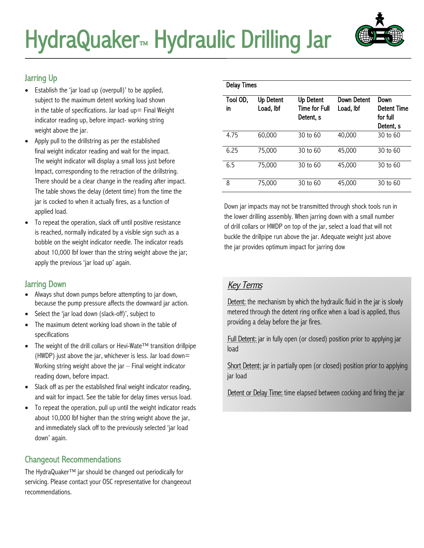

### Jarring Up

- Establish the 'jar load up (overpull)' to be applied, subject to the maximum detent working load shown in the table of specifications. Jar load  $up=$  Final Weight indicator reading up, before impact- working string weight above the jar.
- Apply pull to the drillstring as per the established final weight indicator reading and wait for the impact. The weight indicator will display a small loss just before Impact, corresponding to the retraction of the drillstring. There should be a clear change in the reading after impact. The table shows the delay (detent time) from the time the jar is cocked to when it actually fires, as a function of applied load.
- To repeat the operation, slack off until positive resistance is reached, normally indicated by a visible sign such as a bobble on the weight indicator needle. The indicator reads about 10,000 lbf lower than the string weight above the jar; apply the previous 'jar load up' again.

#### Jarring Down

- Always shut down pumps before attempting to jar down, because the pump pressure affects the downward jar action.
- Select the 'jar load down (slack-off)', subject to
- The maximum detent working load shown in the table of specifications
- The weight of the drill collars or Hevi-Wate<sup>TM</sup> transition drillpipe (HWDP) just above the jar, whichever is less. Jar load down= Working string weight above the jar – Final weight indicator reading down, before impact.
- Slack off as per the established final weight indicator reading, and wait for impact. See the table for delay times versus load.
- To repeat the operation, pull up until the weight indicator reads about 10,000 lbf higher than the string weight above the jar, and immediately slack off to the previously selected 'jar load down' again.

## Changeout Recommendations

The HydraQuaker™ jar should be changed out periodically for servicing. Please contact your OSC representative for changeeout recommendations.

| <b>Delay Times</b> |                               |                                                |                          |                                                     |  |  |  |
|--------------------|-------------------------------|------------------------------------------------|--------------------------|-----------------------------------------------------|--|--|--|
| Tool OD,<br>in     | <b>Up Detent</b><br>Load, Ibf | Up Detent<br><b>Time for Full</b><br>Detent, s | Down Detent<br>Load, Ibf | Down<br><b>Detent Time</b><br>for full<br>Detent, s |  |  |  |
| 4.75               | 60,000                        | 30 to 60                                       | 40,000                   | 30 to 60                                            |  |  |  |
| 6.25               | 75,000                        | 30 to 60                                       | 45,000                   | 30 to 60                                            |  |  |  |
| 6.5                | 75,000                        | 30 to 60                                       | 45,000                   | 30 to 60                                            |  |  |  |
| 8                  | 75,000                        | 30 to 60                                       | 45,000                   | 30 to 60                                            |  |  |  |

Down jar impacts may not be transmitted through shock tools run in the lower drilling assembly. When jarring down with a small number of drill collars or HWDP on top of the jar, select a load that will not buckle the drillpipe run above the jar. Adequate weight just above the jar provides optimum impact for jarring dow

# **Key Terms**

Detent: the mechanism by which the hydraulic fluid in the jar is slowly metered through the detent ring orifice when a load is applied, thus providing a delay before the jar fires.

Full Detent: jar in fully open (or closed) position prior to applying jar load

Short Detent: jar in partially open (or closed) position prior to applying jar load

Detent or Delay Time: time elapsed between cocking and firing the jar